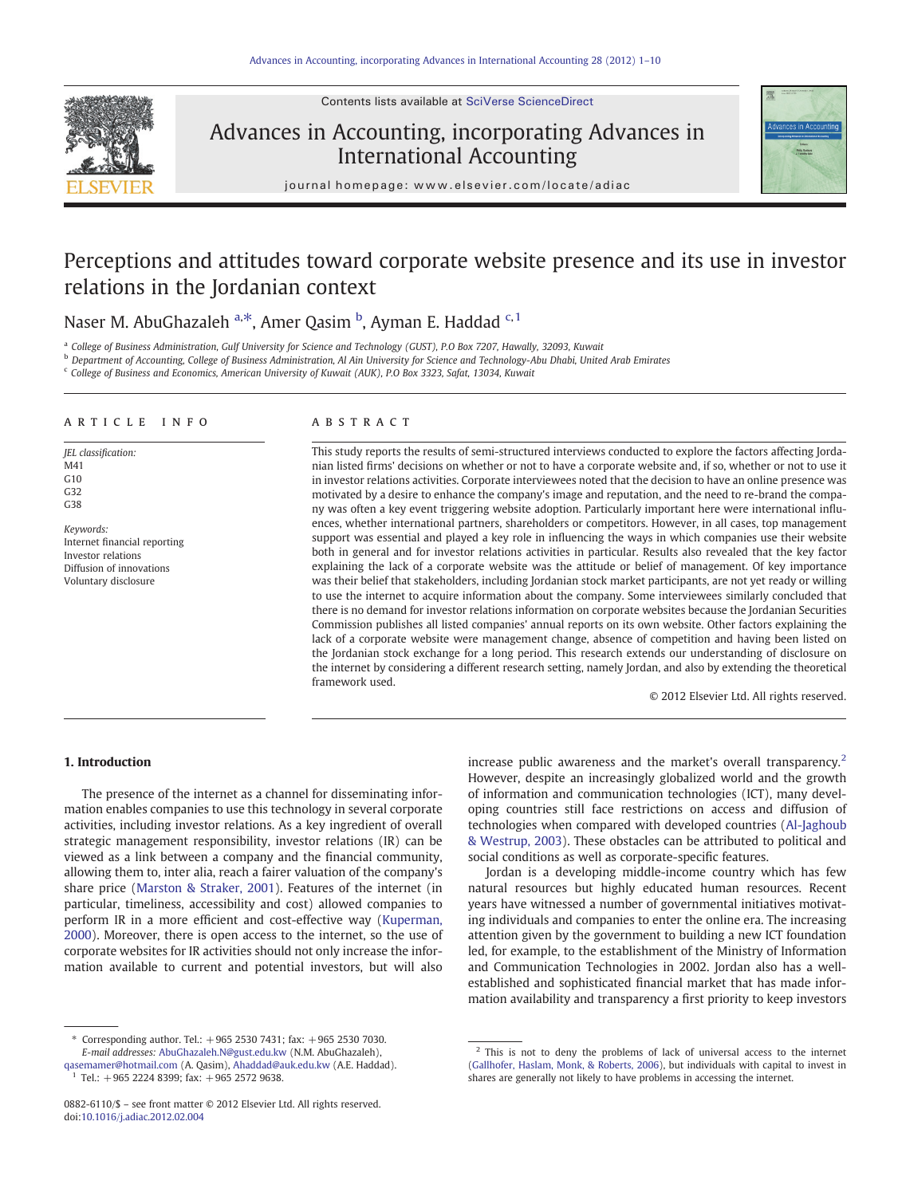Contents lists available at [SciVerse ScienceDirect](http://www.sciencedirect.com/science/journal/08826110)



## Advances in Accounting, incorporating Advances in International Accounting



journal homepage: www.elsevier.com/locate/adiac

# Perceptions and attitudes toward corporate website presence and its use in investor relations in the Jordanian context

Naser M. AbuGhazaleh <sup>a,\*</sup>, Amer Qasim <sup>b</sup>, Ayman E. Haddad <sup>c, 1</sup>

<sup>a</sup> College of Business Administration, Gulf University for Science and Technology (GUST), P.O Box 7207, Hawally, 32093, Kuwait

**b** Department of Accounting, College of Business Administration, Al Ain University for Science and Technology-Abu Dhabi, United Arab Emirates

<sup>c</sup> College of Business and Economics, American University of Kuwait (AUK), P.O Box 3323, Safat, 13034, Kuwait

#### article info abstract

JEL classification: M41 G10 G32 G38

Keywords: Internet financial reporting Investor relations Diffusion of innovations Voluntary disclosure

This study reports the results of semi-structured interviews conducted to explore the factors affecting Jordanian listed firms' decisions on whether or not to have a corporate website and, if so, whether or not to use it in investor relations activities. Corporate interviewees noted that the decision to have an online presence was motivated by a desire to enhance the company's image and reputation, and the need to re-brand the company was often a key event triggering website adoption. Particularly important here were international influences, whether international partners, shareholders or competitors. However, in all cases, top management support was essential and played a key role in influencing the ways in which companies use their website both in general and for investor relations activities in particular. Results also revealed that the key factor explaining the lack of a corporate website was the attitude or belief of management. Of key importance was their belief that stakeholders, including Jordanian stock market participants, are not yet ready or willing to use the internet to acquire information about the company. Some interviewees similarly concluded that there is no demand for investor relations information on corporate websites because the Jordanian Securities Commission publishes all listed companies' annual reports on its own website. Other factors explaining the lack of a corporate website were management change, absence of competition and having been listed on the Jordanian stock exchange for a long period. This research extends our understanding of disclosure on the internet by considering a different research setting, namely Jordan, and also by extending the theoretical framework used.

© 2012 Elsevier Ltd. All rights reserved.

### 1. Introduction

The presence of the internet as a channel for disseminating information enables companies to use this technology in several corporate activities, including investor relations. As a key ingredient of overall strategic management responsibility, investor relations (IR) can be viewed as a link between a company and the financial community, allowing them to, inter alia, reach a fairer valuation of the company's share price ([Marston & Straker, 2001](#page--1-0)). Features of the internet (in particular, timeliness, accessibility and cost) allowed companies to perform IR in a more efficient and cost-effective way ([Kuperman,](#page--1-0) [2000\)](#page--1-0). Moreover, there is open access to the internet, so the use of corporate websites for IR activities should not only increase the information available to current and potential investors, but will also

increase public awareness and the market's overall transparency.<sup>2</sup> However, despite an increasingly globalized world and the growth of information and communication technologies (ICT), many developing countries still face restrictions on access and diffusion of technologies when compared with developed countries [\(Al-Jaghoub](#page--1-0) [& Westrup, 2003\)](#page--1-0). These obstacles can be attributed to political and social conditions as well as corporate-specific features.

Jordan is a developing middle-income country which has few natural resources but highly educated human resources. Recent years have witnessed a number of governmental initiatives motivating individuals and companies to enter the online era. The increasing attention given by the government to building a new ICT foundation led, for example, to the establishment of the Ministry of Information and Communication Technologies in 2002. Jordan also has a wellestablished and sophisticated financial market that has made information availability and transparency a first priority to keep investors

<sup>⁎</sup> Corresponding author. Tel.: +965 2530 7431; fax: +965 2530 7030. E-mail addresses: [AbuGhazaleh.N@gust.edu.kw](mailto:AbuGhazaleh.N@gust.edu.kw) (N.M. AbuGhazaleh),

[qasemamer@hotmail.com](mailto:qasemamer@hotmail.com) (A. Qasim), [Ahaddad@auk.edu.kw](mailto:Ahaddad@auk.edu.kw) (A.E. Haddad). <sup>1</sup> Tel.: +965 2224 8399; fax: +965 2572 9638.

<sup>0882-6110/\$</sup> – see front matter © 2012 Elsevier Ltd. All rights reserved. doi:[10.1016/j.adiac.2012.02.004](http://dx.doi.org/10.1016/j.adiac.2012.02.004)

<sup>2</sup> This is not to deny the problems of lack of universal access to the internet [\(Gallhofer, Haslam, Monk, & Roberts, 2006](#page--1-0)), but individuals with capital to invest in shares are generally not likely to have problems in accessing the internet.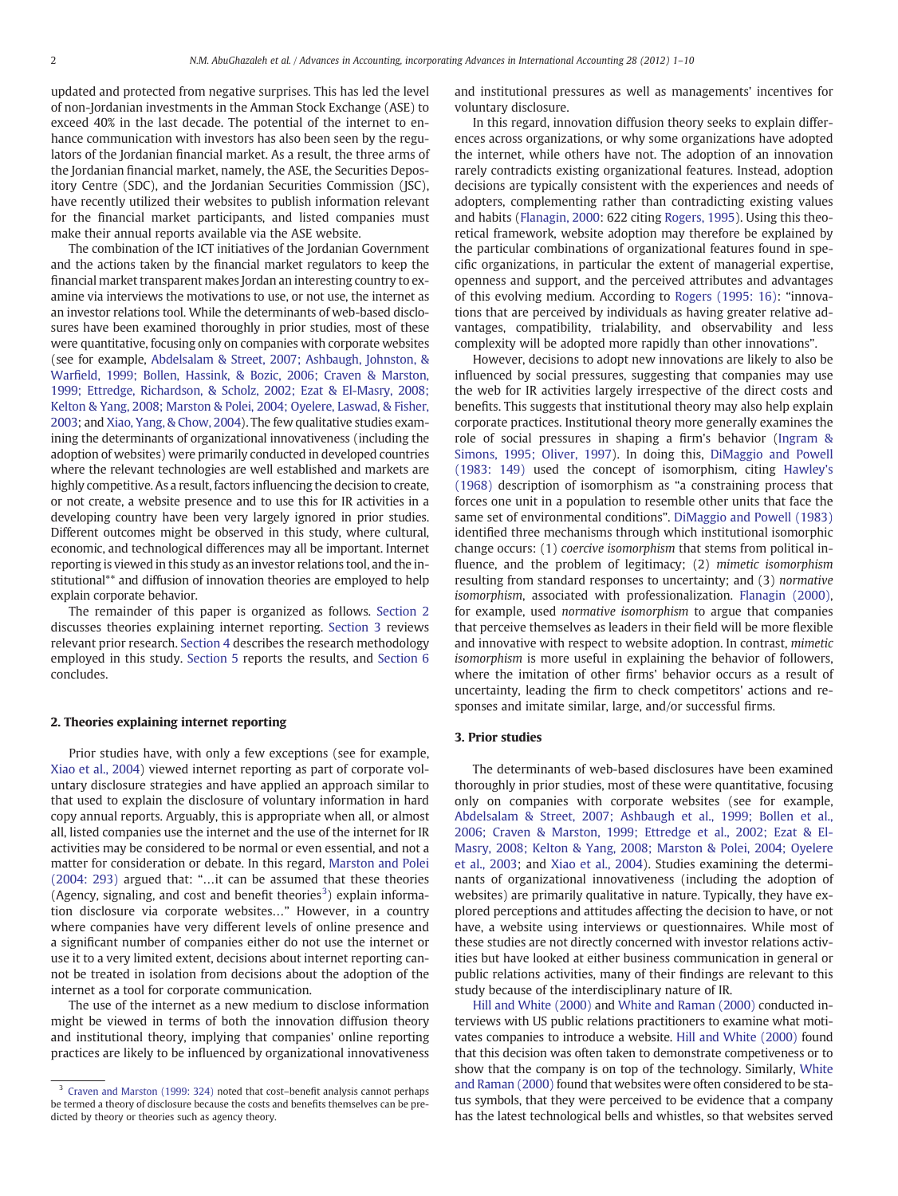updated and protected from negative surprises. This has led the level of non-Jordanian investments in the Amman Stock Exchange (ASE) to exceed 40% in the last decade. The potential of the internet to enhance communication with investors has also been seen by the regulators of the Jordanian financial market. As a result, the three arms of the Jordanian financial market, namely, the ASE, the Securities Depository Centre (SDC), and the Jordanian Securities Commission (JSC), have recently utilized their websites to publish information relevant for the financial market participants, and listed companies must make their annual reports available via the ASE website.

The combination of the ICT initiatives of the Jordanian Government and the actions taken by the financial market regulators to keep the financial market transparent makes Jordan an interesting country to examine via interviews the motivations to use, or not use, the internet as an investor relations tool. While the determinants of web-based disclosures have been examined thoroughly in prior studies, most of these were quantitative, focusing only on companies with corporate websites (see for example, [Abdelsalam & Street, 2007; Ashbaugh, Johnston, &](#page--1-0) Warfi[eld, 1999; Bollen, Hassink, & Bozic, 2006; Craven & Marston,](#page--1-0) [1999; Ettredge, Richardson, & Scholz, 2002; Ezat & El-Masry, 2008;](#page--1-0) [Kelton & Yang, 2008; Marston & Polei, 2004; Oyelere, Laswad, & Fisher,](#page--1-0) [2003;](#page--1-0) and [Xiao, Yang, & Chow, 2004\)](#page--1-0). The few qualitative studies examining the determinants of organizational innovativeness (including the adoption of websites) were primarily conducted in developed countries where the relevant technologies are well established and markets are highly competitive. As a result, factors influencing the decision to create, or not create, a website presence and to use this for IR activities in a developing country have been very largely ignored in prior studies. Different outcomes might be observed in this study, where cultural, economic, and technological differences may all be important. Internet reporting is viewed in this study as an investor relations tool, and the institutional\*\* and diffusion of innovation theories are employed to help explain corporate behavior.

The remainder of this paper is organized as follows. Section 2 discusses theories explaining internet reporting. Section 3 reviews relevant prior research. [Section 4](#page--1-0) describes the research methodology employed in this study. [Section 5](#page--1-0) reports the results, and [Section 6](#page--1-0) concludes.

#### 2. Theories explaining internet reporting

Prior studies have, with only a few exceptions (see for example, [Xiao et al., 2004\)](#page--1-0) viewed internet reporting as part of corporate voluntary disclosure strategies and have applied an approach similar to that used to explain the disclosure of voluntary information in hard copy annual reports. Arguably, this is appropriate when all, or almost all, listed companies use the internet and the use of the internet for IR activities may be considered to be normal or even essential, and not a matter for consideration or debate. In this regard, [Marston and Polei](#page--1-0) [\(2004: 293\)](#page--1-0) argued that: "…it can be assumed that these theories (Agency, signaling, and cost and benefit theories<sup>3</sup>) explain information disclosure via corporate websites…" However, in a country where companies have very different levels of online presence and a significant number of companies either do not use the internet or use it to a very limited extent, decisions about internet reporting cannot be treated in isolation from decisions about the adoption of the internet as a tool for corporate communication.

The use of the internet as a new medium to disclose information might be viewed in terms of both the innovation diffusion theory and institutional theory, implying that companies' online reporting practices are likely to be influenced by organizational innovativeness

and institutional pressures as well as managements' incentives for voluntary disclosure.

In this regard, innovation diffusion theory seeks to explain differences across organizations, or why some organizations have adopted the internet, while others have not. The adoption of an innovation rarely contradicts existing organizational features. Instead, adoption decisions are typically consistent with the experiences and needs of adopters, complementing rather than contradicting existing values and habits [\(Flanagin, 2000:](#page--1-0) 622 citing [Rogers, 1995\)](#page--1-0). Using this theoretical framework, website adoption may therefore be explained by the particular combinations of organizational features found in specific organizations, in particular the extent of managerial expertise, openness and support, and the perceived attributes and advantages of this evolving medium. According to [Rogers \(1995: 16\):](#page--1-0) "innovations that are perceived by individuals as having greater relative advantages, compatibility, trialability, and observability and less complexity will be adopted more rapidly than other innovations".

However, decisions to adopt new innovations are likely to also be influenced by social pressures, suggesting that companies may use the web for IR activities largely irrespective of the direct costs and benefits. This suggests that institutional theory may also help explain corporate practices. Institutional theory more generally examines the role of social pressures in shaping a firm's behavior [\(Ingram &](#page--1-0) [Simons, 1995; Oliver, 1997\)](#page--1-0). In doing this, [DiMaggio and Powell](#page--1-0) [\(1983: 149\)](#page--1-0) used the concept of isomorphism, citing [Hawley's](#page--1-0) [\(1968\)](#page--1-0) description of isomorphism as "a constraining process that forces one unit in a population to resemble other units that face the same set of environmental conditions". [DiMaggio and Powell \(1983\)](#page--1-0) identified three mechanisms through which institutional isomorphic change occurs: (1) coercive isomorphism that stems from political influence, and the problem of legitimacy; (2) mimetic isomorphism resulting from standard responses to uncertainty; and (3) normative isomorphism, associated with professionalization. [Flanagin \(2000\),](#page--1-0) for example, used normative isomorphism to argue that companies that perceive themselves as leaders in their field will be more flexible and innovative with respect to website adoption. In contrast, mimetic isomorphism is more useful in explaining the behavior of followers, where the imitation of other firms' behavior occurs as a result of uncertainty, leading the firm to check competitors' actions and responses and imitate similar, large, and/or successful firms.

#### 3. Prior studies

The determinants of web-based disclosures have been examined thoroughly in prior studies, most of these were quantitative, focusing only on companies with corporate websites (see for example, [Abdelsalam & Street, 2007; Ashbaugh et al., 1999; Bollen et al.,](#page--1-0) [2006; Craven & Marston, 1999; Ettredge et al., 2002; Ezat & El-](#page--1-0)[Masry, 2008; Kelton & Yang, 2008; Marston & Polei, 2004; Oyelere](#page--1-0) [et al., 2003](#page--1-0); and [Xiao et al., 2004](#page--1-0)). Studies examining the determinants of organizational innovativeness (including the adoption of websites) are primarily qualitative in nature. Typically, they have explored perceptions and attitudes affecting the decision to have, or not have, a website using interviews or questionnaires. While most of these studies are not directly concerned with investor relations activities but have looked at either business communication in general or public relations activities, many of their findings are relevant to this study because of the interdisciplinary nature of IR.

[Hill and White \(2000\)](#page--1-0) and [White and Raman \(2000\)](#page--1-0) conducted interviews with US public relations practitioners to examine what motivates companies to introduce a website. [Hill and White \(2000\)](#page--1-0) found that this decision was often taken to demonstrate competiveness or to show that the company is on top of the technology. Similarly, [White](#page--1-0) [and Raman \(2000\)](#page--1-0) found that websites were often considered to be status symbols, that they were perceived to be evidence that a company has the latest technological bells and whistles, so that websites served

<sup>&</sup>lt;sup>3</sup> [Craven and Marston \(1999: 324\)](#page--1-0) noted that cost-benefit analysis cannot perhaps be termed a theory of disclosure because the costs and benefits themselves can be predicted by theory or theories such as agency theory.